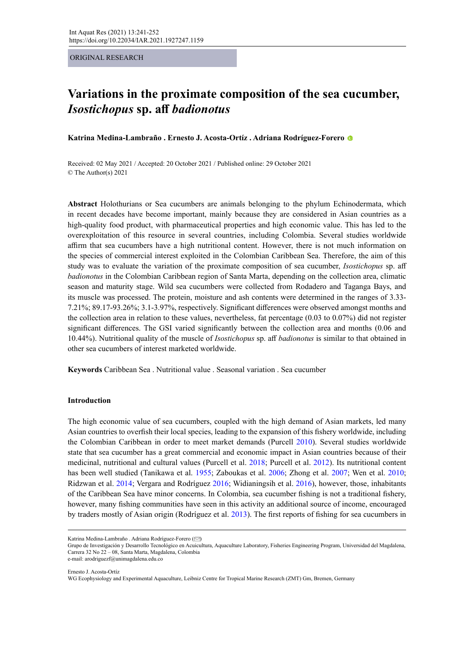ORIGINAL RESEARCH

# **Variations in the proximate composition of the sea cucumber,**  *Isostichopus* **sp. aff** *badionotus*

**Katrina Medina-Lambraño . Ernesto J. Acosta-Ortíz . Adriana Rodríguez-Forero**

Received: 02 May 2021 / Accepted: 20 October 2021 / Published online: 29 October 2021 © The Author(s) 2021

**Abstract** Holothurians or Sea cucumbers are animals belonging to the phylum Echinodermata, which in recent decades have become important, mainly because they are considered in Asian countries as a high-quality food product, with pharmaceutical properties and high economic value. This has led to the overexploitation of this resource in several countries, including Colombia. Several studies worldwide affirm that sea cucumbers have a high nutritional content. However, there is not much information on the species of commercial interest exploited in the Colombian Caribbean Sea. Therefore, the aim of this study was to evaluate the variation of the proximate composition of sea cucumber, *Isostichopus* sp. aff *badionotus* in the Colombian Caribbean region of Santa Marta, depending on the collection area, climatic season and maturity stage. Wild sea cucumbers were collected from Rodadero and Taganga Bays, and its muscle was processed. The protein, moisture and ash contents were determined in the ranges of 3.33- 7.21%; 89.17-93.26%; 3.1-3.97%, respectively. Significant differences were observed amongst months and the collection area in relation to these values, nevertheless, fat percentage (0.03 to 0.07%) did not register significant differences. The GSI varied significantly between the collection area and months (0.06 and 10.44%). Nutritional quality of the muscle of *Isostichopus* sp. aff *badionotus* is similar to that obtained in other sea cucumbers of interest marketed worldwide.

**Keywords** Caribbean Sea . Nutritional value . Seasonal variation . Sea cucumber

# **Introduction**

The high economic value of sea cucumbers, coupled with the high demand of Asian markets, led many Asian countries to overfish their local species, leading to the expansion of this fishery worldwide, including the Colombian Caribbean in order to meet market demands (Purcell 2010). Several studies worldwide state that sea cucumber has a great commercial and economic impact in Asian countries because of their medicinal, nutritional and cultural values (Purcell et al. 2018; Purcell et al. 2012). Its nutritional content has been well studied (Tanikawa et al. 1955; Zaboukas et al. 2006; Zhong et al. 2007; Wen et al. 2010; Ridzwan et al. 2014; Vergara and Rodríguez 2016; Widianingsih et al. 2016), however, those, inhabitants of the Caribbean Sea have minor concerns. In Colombia, sea cucumber fishing is not a traditional fishery, however, many fishing communities have seen in this activity an additional source of income, encouraged by traders mostly of Asian origin (Rodríguez et al. 2013). The first reports of fishing for sea cucumbers in

e-mail: arodriguezf@unimagdalena.edu.co

Ernesto J. Acosta-Ortíz

WG Ecophysiology and Experimental Aquaculture, Leibniz Centre for Tropical Marine Research (ZMT) Gm, Bremen, Germany

Katrina Medina-Lambraño . Adriana Rodríguez-Forero ( $\heartsuit$ [\)](mailto:arodriguezf%40unimagdalena.edu.co?subject=)

Grupo de Investigación y Desarrollo Tecnológico en Acuicultura, Aquaculture Laboratory, Fisheries Engineering Program, Universidad del Magdalena, Carrera 32 No 22 – 08, Santa Marta, Magdalena, Colombia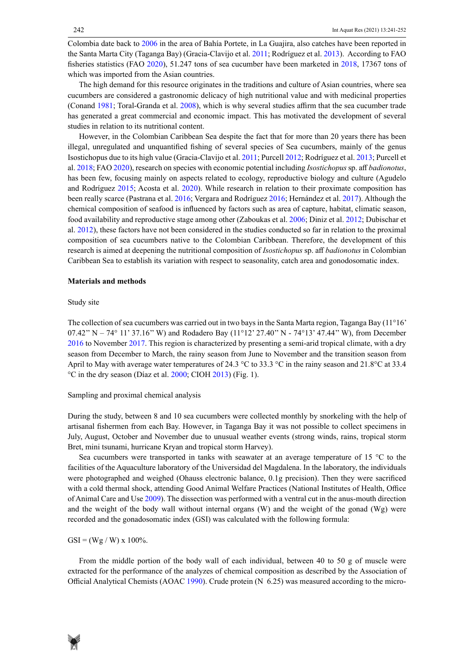Colombia date back to 2006 in the area of Bahía Portete, in La Guajira, also catches have been reported in the Santa Marta City (Taganga Bay) (Gracia-Clavijo et al. 2011; Rodríguez et al. 2013). According to FAO fisheries statistics (FAO 2020), 51.247 tons of sea cucumber have been marketed in 2018, 17367 tons of which was imported from the Asian countries.

The high demand for this resource originates in the traditions and culture of Asian countries, where sea cucumbers are considered a gastronomic delicacy of high nutritional value and with medicinal properties (Conand 1981; Toral-Granda et al. 2008), which is why several studies affirm that the sea cucumber trade has generated a great commercial and economic impact. This has motivated the development of several studies in relation to its nutritional content.

However, in the Colombian Caribbean Sea despite the fact that for more than 20 years there has been illegal, unregulated and unquantified fishing of several species of Sea cucumbers, mainly of the genus Isostichopus due to its high value (Gracia-Clavijo et al. 2011; Purcell 2012; Rodríguez et al. 2013; Purcell et al. 2018; FAO 2020), research on species with economic potential including *Isostichopus* sp. aff *badionotus*, has been few, focusing mainly on aspects related to ecology, reproductive biology and culture (Agudelo and Rodríguez 2015; Acosta et al. 2020). While research in relation to their proximate composition has been really scarce (Pastrana et al. 2016; Vergara and Rodríguez 2016; Hernández et al. 2017). Although the chemical composition of seafood is influenced by factors such as area of capture, habitat, climatic season, food availability and reproductive stage among other (Zaboukas et al. 2006; Diniz et al. 2012; Dubischar et al. 2012), these factors have not been considered in the studies conducted so far in relation to the proximal composition of sea cucumbers native to the Colombian Caribbean. Therefore, the development of this research is aimed at deepening the nutritional composition of *Isostichopus* sp. aff *badionotus* in Colombian Caribbean Sea to establish its variation with respect to seasonality, catch area and gonodosomatic index.

#### **Materials and methods**

#### Study site

The collection of sea cucumbers was carried out in two bays in the Santa Marta region, Taganga Bay (11°16' 07.42" N – 74° 11' 37.16" W) and Rodadero Bay (11°12' 27.40" N - 74° 13' 47.44" W), from December 2016 to November 2017. This region is characterized by presenting a semi-arid tropical climate, with a dry season from December to March, the rainy season from June to November and the transition season from April to May with average water temperatures of 24.3 °C to 33.3 °C in the rainy season and 21.8 °C at 33.4  $\rm{^{\circ}C}$  in the dry season (Díaz et al. 2000; CIOH 2013) (Fig. 1).

## Sampling and proximal chemical analysis

During the study, between 8 and 10 sea cucumbers were collected monthly by snorkeling with the help of artisanal fishermen from each Bay. However, in Taganga Bay it was not possible to collect specimens in July, August, October and November due to unusual weather events (strong winds, rains, tropical storm Bret, mini tsunami, hurricane Kryan and tropical storm Harvey).

Sea cucumbers were transported in tanks with seawater at an average temperature of 15 °C to the facilities of the Aquaculture laboratory of the Universidad del Magdalena. In the laboratory, the individuals were photographed and weighed (Ohauss electronic balance, 0.1g precision). Then they were sacrificed with a cold thermal shock, attending Good Animal Welfare Practices (National Institutes of Health, Office of Animal Care and Use 2009). The dissection was performed with a ventral cut in the anus-mouth direction and the weight of the body wall without internal organs (W) and the weight of the gonad (Wg) were recorded and the gonadosomatic index (GSI) was calculated with the following formula:

 $GSI = (Wg / W) \times 100\%$ .

From the middle portion of the body wall of each individual, between 40 to 50 g of muscle were extracted for the performance of the analyzes of chemical composition as described by the Association of Official Analytical Chemists (AOAC 1990). Crude protein (N 6.25) was measured according to the micro-

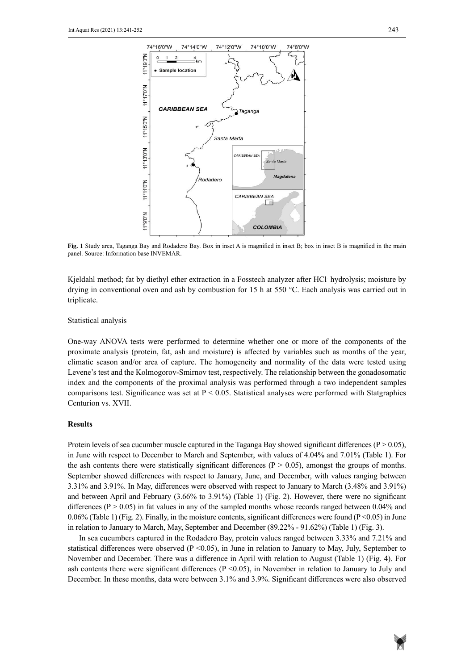

**Fig. 1** Study area, Taganga Bay and Rodadero Bay. Box in inset A is magnified in inset B; box in inset B is magnified in the main panel. Source: Information base INVEMAR.

Kjeldahl method; fat by diethyl ether extraction in a Fosstech analyzer after HCl- hydrolysis; moisture by drying in conventional oven and ash by combustion for 15 h at 550 °C. Each analysis was carried out in triplicate.

#### Statistical analysis

One-way ANOVA tests were performed to determine whether one or more of the components of the proximate analysis (protein, fat, ash and moisture) is affected by variables such as months of the year, climatic season and/or area of capture. The homogeneity and normality of the data were tested using Levene's test and the Kolmogorov-Smirnov test, respectively. The relationship between the gonadosomatic index and the components of the proximal analysis was performed through a two independent samples comparisons test. Significance was set at  $P < 0.05$ . Statistical analyses were performed with Statgraphics Centurion vs. XVII.

# **Results**

Protein levels of sea cucumber muscle captured in the Taganga Bay showed significant differences ( $P > 0.05$ ), in June with respect to December to March and September, with values of 4.04% and 7.01% (Table 1). For the ash contents there were statistically significant differences ( $P > 0.05$ ), amongst the groups of months. September showed differences with respect to January, June, and December, with values ranging between 3.31% and 3.91%. In May, differences were observed with respect to January to March (3.48% and 3.91%) and between April and February (3.66% to 3.91%) (Table 1) (Fig. 2). However, there were no significant differences  $(P > 0.05)$  in fat values in any of the sampled months whose records ranged between 0.04% and 0.06% (Table 1) (Fig. 2). Finally, in the moisture contents, significant differences were found ( $P \le 0.05$ ) in June in relation to January to March, May, September and December (89.22% - 91.62%) (Table 1) (Fig. 3).

In sea cucumbers captured in the Rodadero Bay, protein values ranged between 3.33% and 7.21% and statistical differences were observed ( $P \le 0.05$ ), in June in relation to January to May, July, September to November and December. There was a difference in April with relation to August (Table 1) (Fig. 4). For ash contents there were significant differences ( $P \le 0.05$ ), in November in relation to January to July and December. In these months, data were between 3.1% and 3.9%. Significant differences were also observed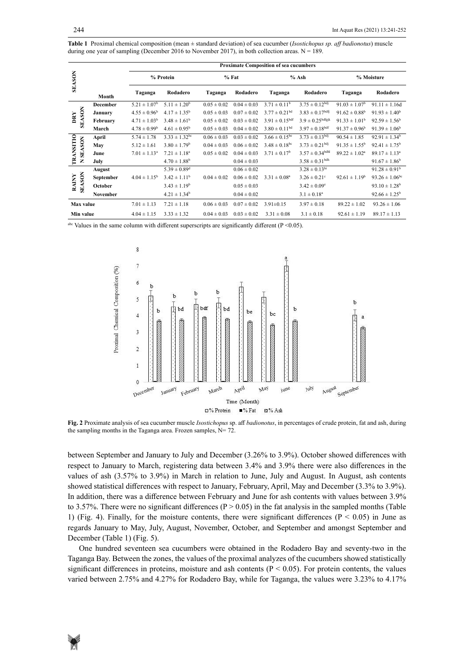| <b>Table 1</b> Proximal chemical composition (mean $\pm$ standard deviation) of sea cucumber ( <i>Isostichopus sp. aff badionotus</i> ) muscle |
|------------------------------------------------------------------------------------------------------------------------------------------------|
| during one year of sampling (December 2016 to November 2017), in both collection areas. $N = 189$ .                                            |

|                                                                                                                  |               |                 |                            | <b>Proximate Composition of sea cucumbers</b> |                 |                 |                          |                                |                          |                           |
|------------------------------------------------------------------------------------------------------------------|---------------|-----------------|----------------------------|-----------------------------------------------|-----------------|-----------------|--------------------------|--------------------------------|--------------------------|---------------------------|
| <b>SEASON</b>                                                                                                    |               |                 | % Protein                  |                                               | $%$ Fat         |                 | % Ash                    |                                | % Moisture               |                           |
|                                                                                                                  |               | Month           | Taganga                    | Rodadero                                      | Taganga         | Rodadero        | Taganga                  | Rodadero                       | Taganga                  | Rodadero                  |
|                                                                                                                  | <b>SEASON</b> | <b>December</b> | $5.21 \pm 1.07^b$          | $5.11 \pm 1.20^b$                             | $0.05 \pm 0.02$ | $0.04 \pm 0.03$ | $3.71 \pm 0.11^b$        | $3.75 \pm 0.12^{\text{bdj}}$   | $91.03 \pm 1.07^{\rm b}$ | $91.11 \pm 1.16d$         |
|                                                                                                                  |               | January         | $4.55 \pm 0.96^{\rm b}$    | $4.17 \pm 1.35^b$                             | $0.05 \pm 0.03$ | $0.07 \pm 0.02$ | $3.77 \pm 0.21^{bd}$     | $3.83 \pm 0.17^{\text{bdf}}$   | $91.62 \pm 0.88^{\rm b}$ | $91.93 \pm 1.40^b$        |
| DRY                                                                                                              |               | February        | $4.71 \pm 1.03^b$          | $3.48 \pm 1.61^b$                             | $0.05 \pm 0.02$ | $0.03 \pm 0.02$ | $3.91 \pm 0.15$ bdf      | $3.9 \pm 0.25$ bdfgjk          | $91.33 \pm 1.01^b$       | $92.59 \pm 1.56^b$        |
|                                                                                                                  |               | March           | $4.78 \pm 0.99^{\rm b}$    | $4.61 \pm 0.95^b$                             | $0.05 \pm 0.03$ | $0.04 \pm 0.02$ | $3.80 \pm 0.11^{bd}$     | $3.97 \pm 0.18$ bdf            | $91.37 \pm 0.96^b$       | $91.39 \pm 1.06^b$        |
|                                                                                                                  | <b>SEASON</b> | April           | $5.74 \pm 1.78$            | $3.33 \pm 1.32$ <sup>bc</sup>                 | $0.06 \pm 0.03$ | $0.03 \pm 0.02$ | $3.66 \pm 0.15^{\rm be}$ | $3.73 \pm 0.13^{\text{bdj}}$   | $90.54 \pm 1.85$         | $92.91 \pm 1.34^b$        |
|                                                                                                                  |               | May             | $5.12 \pm 1.61$            | $3.80 \pm 1.79^{\rm b}$                       | $0.04 \pm 0.03$ | $0.06 \pm 0.02$ | $3.48 \pm 0.18^{\rm bc}$ | $3.73 \pm 0.21$ <sup>bdj</sup> | $91.35 \pm 1.55^{\circ}$ | $92.41 \pm 1.75^{\rm b}$  |
| <b>TRANSITIO</b>                                                                                                 |               | June            | $7.01 \pm 1.13^{\text{a}}$ | $7.21 \pm 1.18^a$                             | $0.05 \pm 0.02$ | $0.04 \pm 0.03$ | $3.71 \pm 0.17^b$        | $3.57 \pm 0.34$ bdhl           | $89.22 \pm 1.02^a$       | $89.17 \pm 1.13^a$        |
|                                                                                                                  | Z             | July            |                            | $4.70 \pm 1.88^b$                             |                 | $0.04 \pm 0.03$ |                          | $3.58 \pm 0.31$ <sup>bdh</sup> |                          | $91.67 \pm 1.86^b$        |
|                                                                                                                  | <b>SEASON</b> | August          |                            | $5.39 \pm 0.89$ <sup>d</sup>                  |                 | $0.06 \pm 0.02$ |                          | $3.28 \pm 0.13$ hi             |                          | $91.28 \pm 0.91^b$        |
| <b>RAINY</b>                                                                                                     |               | September       | $4.04 \pm 1.15^{\rm b}$    | $3.42 \pm 1.11^b$                             | $0.04 \pm 0.02$ | $0.06 \pm 0.02$ | $3.31 \pm 0.08^a$        | $3.26 \pm 0.21$ °              | $92.61 \pm 1.19^b$       | $93.26 \pm 1.06^{\rm bc}$ |
|                                                                                                                  |               | October         |                            | $3.43 \pm 1.19^b$                             |                 | $0.05 \pm 0.03$ |                          | $3.42 \pm 0.09^{\circ}$        |                          | $93.10 \pm 1.28^b$        |
|                                                                                                                  |               | <b>November</b> |                            | $4.21 \pm 1.34^b$                             |                 | $0.04 \pm 0.02$ |                          | $3.1 \pm 0.18^a$               |                          | $92.66 \pm 1.25^b$        |
| Max value                                                                                                        |               |                 | $7.01 \pm 1.13$            | $7.21 \pm 1.18$                               | $0.06 \pm 0.03$ | $0.07 \pm 0.02$ | $3.91 \pm 0.15$          | $3.97 \pm 0.18$                | $89.22 \pm 1.02$         | $93.26 \pm 1.06$          |
| Min value                                                                                                        |               |                 | $4.04 \pm 1.15$            | $3.33 \pm 1.32$                               | $0.04 \pm 0.03$ | $0.03 \pm 0.02$ | $3.31 \pm 0.08$          | $3.1 \pm 0.18$                 | $92.61 \pm 1.19$         | $89.17 \pm 1.13$          |
| <sup>abc</sup> Values in the same column with different superscripts are significantly different ( $P < 0.05$ ). |               |                 |                            |                                               |                 |                 |                          |                                |                          |                           |



**Fig. 2** Proximate analysis of sea cucumber muscle *Isostichopus* sp. aff *badionotus*, in percentages of crude protein, fat and ash, during the sampling months in the Taganga area. **Fig. 2** Proximate analysis of sea cucumber muscle *Isostichopus* sp. aff *badionotus*, in percentages of crude protein, fat and ash, during the sampling months in the Taganga area. Frozen samples,  $N= 72$ .

between September and January to July and December (3.26% to 3.9%). October showed differences with respect to January to March, registering data between 3.4% and 3.9% there were also differences in the values of ash (3.57% to 3.9%) in March in relation to June, July and August. In August, ash contents showed statistical differences with respect to January, February, April, May and December (3.3% to 3.9%). In addition, there was a difference between February and June for ash contents with values between 3.9% to 3.57%. There were no significant differences ( $P > 0.05$ ) in the fat analysis in the sampled months (Table 1) (Fig. 4). Finally, for the moisture contents, there were significant differences ( $P \le 0.05$ ) in June as regards January to May, July, August, November, October, and September and amongst September and December (Table 1) (Fig. 5).

One hundred seventeen sea cucumbers were obtained in the Rodadero Bay and seventy-two in the Taganga Bay. Between the zones, the values of the proximal analyzes of the cucumbers showed statistically significant differences in proteins, moisture and ash contents ( $P < 0.05$ ). For protein contents, the values varied between 2.75% and 4.27% for Rodadero Bay, while for Taganga, the values were 3.23% to 4.17%

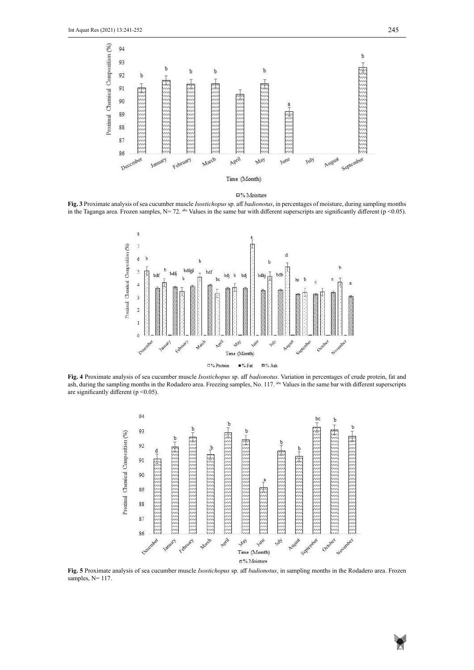



in the Taganga area. Frozen samples,  $N = 72$ . <sup>abe</sup> Values in the same bar with different superscripts are significantly different ( $p \le 0.05$ ). **Fig. 3** Proximate analysis of sea cucumber muscle *Isostichopus* sp. aff *badionotus*, in percentages of moisture, during sampling months



**Fig. 4** Proximate analysis of sea cucumber muscle *Isostichopus* sp. aff *badionotus*. Variation in percentages of crude protein, fat and ash, during the sampling months in the Rodadero **Fig. 4** Proximate analysis of sea cucumber muscle *Isostichopus* sp. aff *badionotus*. Variation in percentages of crude protein, fat and ash, during the sampling months in the Rodadero area. Freezing samples, No. 117. <sup>abc</sup> Values in the same bar with different superscripts are significantly different ( $p \le 0.05$ ).



**Fig. 5** Proximate analysis of sea cucumber muscle *Isostichopus* sp. aff *badionotus*, in sampling months in the Rodadero area. Frozen samples, N= 117. **Fig. 5** Proximate analysis of sea cucumber muscle *Isostichopus* sp. aff *badionotus*, in sampling months in the Rodadero area. Frozen samples, N= 117.

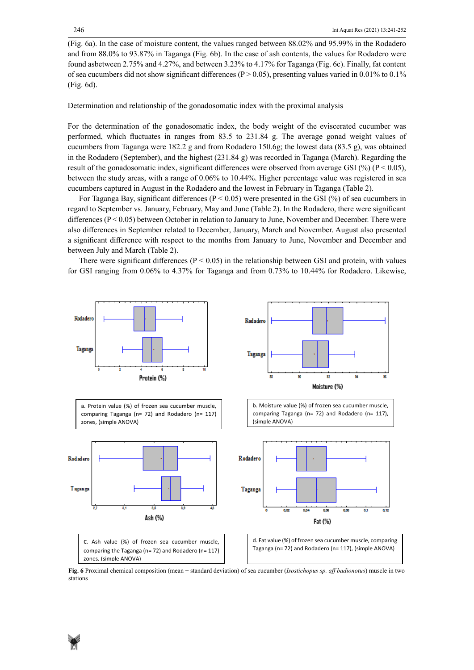(Fig. 6a). In the case of moisture content, the values ranged between 88.02% and 95.99% in the Rodadero and from 88.0% to 93.87% in Taganga (Fig. 6b). In the case of ash contents, the values for Rodadero were found asbetween 2.75% and 4.27%, and between 3.23% to 4.17% for Taganga (Fig. 6c). Finally, fat content of sea cucumbers did not show significant differences ( $P > 0.05$ ), presenting values varied in 0.01% to 0.1% (Fig. 6d).

Determination and relationship of the gonadosomatic index with the proximal analysis

For the determination of the gonadosomatic index, the body weight of the eviscerated cucumber was performed, which fluctuates in ranges from 83.5 to 231.84 g. The average gonad weight values of cucumbers from Taganga were 182.2 g and from Rodadero 150.6g; the lowest data (83.5 g), was obtained in the Rodadero (September), and the highest (231.84 g) was recorded in Taganga (March). Regarding the result of the gonadosomatic index, significant differences were observed from average GSI (%) ( $P < 0.05$ ), between the study areas, with a range of 0.06% to 10.44%. Higher percentage value was registered in sea cucumbers captured in August in the Rodadero and the lowest in February in Taganga (Table 2).

For Taganga Bay, significant differences ( $P < 0.05$ ) were presented in the GSI (%) of sea cucumbers in regard to September vs. January, February, May and June (Table 2). In the Rodadero, there were significant differences ( $P < 0.05$ ) between October in relation to January to June, November and December. There were also differences in September related to December, January, March and November. August also presented a significant difference with respect to the months from January to June, November and December and between July and March (Table 2).

There were significant differences ( $P < 0.05$ ) in the relationship between GSI and protein, with values for GSI ranging from 0.06% to 4.37% for Taganga and from 0.73% to 10.44% for Rodadero. Likewise,



**Fig. 6** Proximal chemical composition (mean ± standard deviation) of sea cucumber (*Isostichopus sp. aff badionotus*) muscle in two stations

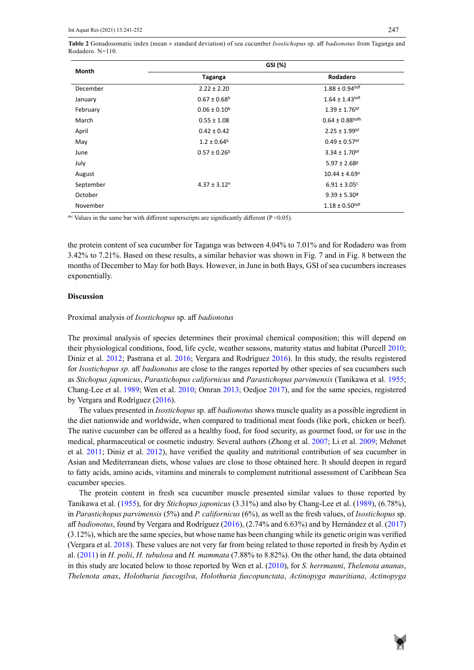**Table 2** Gonadosomatic index (mean ± standard deviation) of sea cucumber *Isostichopus* sp. aff *badionotus* from Taganga and Rodadero. N=110.

| Month     | GSI (%)                      |                                |  |
|-----------|------------------------------|--------------------------------|--|
|           | Taganga                      | Rodadero                       |  |
| December  | $2.22 \pm 2.20$              | $1.88 \pm 0.94$ bdf            |  |
| January   | $0.67 \pm 0.68$ <sup>b</sup> | $1.64 \pm 1.43$ bdf            |  |
| February  | $0.06 \pm 0.10^b$            | $1.39 \pm 1.76$ <sup>bf</sup>  |  |
| March     | $0.55 \pm 1.08$              | $0.64 \pm 0.88$ bdfh           |  |
| April     | $0.42 \pm 0.42$              | $2.25 \pm 1.99$ bf             |  |
| May       | $1.2 \pm 0.64^b$             | $0.49 \pm 0.57$ <sup>bf</sup>  |  |
| June      | $0.57 \pm 0.26^b$            | $3.34 \pm 1.70$ bf             |  |
| July      |                              | $5.97 \pm 2.68$ <sup>g</sup>   |  |
| August    |                              | $10.44 \pm 4.69$ <sup>e</sup>  |  |
| September | $4.37 \pm 3.12$ <sup>a</sup> | $6.91 \pm 3.05$ <sup>c</sup>   |  |
| October   |                              | $9.39 \pm 5.30$ <sup>a</sup>   |  |
| November  |                              | $1.18 \pm 0.50$ <sup>bdf</sup> |  |

<sup>abc</sup> Values in the same bar with different superscripts are significantly different ( $P < 0.05$ ).

the protein content of sea cucumber for Taganga was between 4.04% to 7.01% and for Rodadero was from 3.42% to 7.21%. Based on these results, a similar behavior was shown in Fig. 7 and in Fig. 8 between the months of December to May for both Bays. However, in June in both Bays, GSI of sea cucumbers increases exponentially.

## **Discussion**

Proximal analysis of *Isostichopus* sp. aff *badionotus*

The proximal analysis of species determines their proximal chemical composition; this will depend on their physiological conditions, food, life cycle, weather seasons, maturity status and habitat (Purcell 2010; Diniz et al. 2012; Pastrana et al. 2016; Vergara and Rodríguez 2016). In this study, the results registered for *Isostichopus sp.* aff *badionotus* are close to the ranges reported by other species of sea cucumbers such as *Stichopus japonicus*, *Parastichopus californicus* and *Parastichopus parvimensis* (Tanikawa et al. 1955; Chang-Lee et al. 1989; Wen et al. 2010; Omran 2013; Oedjoe 2017), and for the same species, registered by Vergara and Rodríguez (2016).

The values presented in *Isostichopus* sp. aff *badionotus* shows muscle quality as a possible ingredient in the diet nationwide and worldwide, when compared to traditional meat foods (like pork, chicken or beef). The native cucumber can be offered as a healthy food, for food security, as gourmet food, or for use in the medical, pharmaceutical or cosmetic industry. Several authors (Zhong et al. 2007; Li et al. 2009; Mehmet et al. 2011; Diniz et al. 2012), have verified the quality and nutritional contribution of sea cucumber in Asian and Mediterranean diets, whose values are close to those obtained here. It should deepen in regard to fatty acids, amino acids, vitamins and minerals to complement nutritional assessment of Caribbean Sea cucumber species.

The protein content in fresh sea cucumber muscle presented similar values to those reported by Tanikawa et al. (1955), for dry *Stichopus japonicus* (3.31%) and also by Chang-Lee et al. (1989), (6.78%), in *Parastichopus parvimensis* (5%) and *P. californicus* (6%), as well as the fresh values, of *Isostichopus* sp. aff *badionotus*, found by Vergara and Rodríguez (2016), (2.74% and 6.63%) and by Hernández et al. (2017) (3.12%), which are the same species, but whose name has been changing while its genetic origin was verified (Vergara et al. 2018). These values are not very far from being related to those reported in fresh by Aydin et al. (2011) in *H. polii*, *H. tubulosa* and *H. mammata* (7.88% to 8.82%). On the other hand, the data obtained in this study are located below to those reported by Wen et al. (2010), for *S. herrmanni*, *Thelenota ananas*, *Thelenota anax*, *Holothuria fuscogilva*, *Holothuria fuscopunctata*, *Actinopyga mauritiana*, *Actinopyga*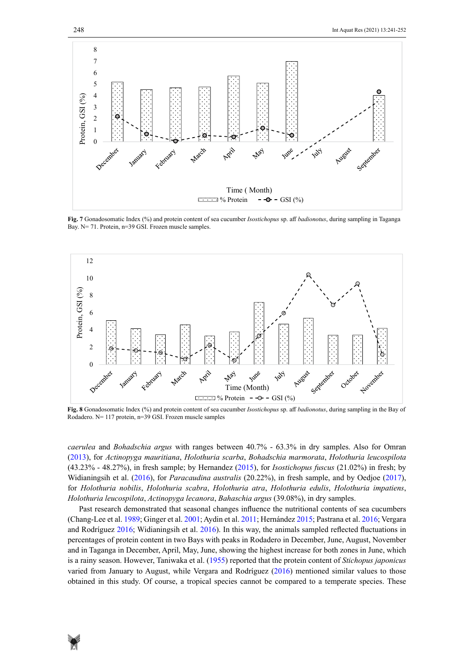

Fig. 7 Gonadosomatic Index (%) and protein content of sea cucumber *Isostichopus* sp. aff *badionotus*, during sampling in Taganga<br>Day  $\sqrt{a}$  21, Battic, and CSL Farry guard samples Bay. N= 71. Protein, n=39 GSI. Frozen muscle samples.



**Fig. 8** Rodadero. N= 117 protein, n=39 GSI. Frozen muscle samples **Fig. 8** Gonadosomatic Index (%) and protein content of sea cucumber *Isostichopus* sp. aff *badionotus*, during sampling in the Bay of

*caerulea* and *Bohadschia argus* with ranges between 40.7% - 63.3% in dry samples. Also for Omran (2013), for *Actinopyga mauritiana*, *Holothuria scarba*, *Bohadschia marmorata*, *Holothuria leucospilota* (43.23% - 48.27%), in fresh sample; by Hernandez (2015), for *Isostichopus fuscus* (21.02%) in fresh; by Widianingsih et al. (2016), for *Paracaudina australis* (20.22%), in fresh sample, and by Oedjoe (2017), for *Holothuria nobilis*, *Holothuria scabra*, *Holothuria atra*, *Holothuria edulis*, *Holothuria impatiens*, *Holothuria leucospilota*, *Actinopyga lecanora*, *Bahaschia argus* (39.08%), in dry samples.

Past research demonstrated that seasonal changes influence the nutritional contents of sea cucumbers (Chang-Lee et al. 1989; Ginger et al. 2001; Aydin et al. 2011; Hernández 2015; Pastrana et al. 2016; Vergara and Rodríguez 2016; Widianingsih et al. 2016). In this way, the animals sampled reflected fluctuations in percentages of protein content in two Bays with peaks in Rodadero in December, June, August, November and in Taganga in December, April, May, June, showing the highest increase for both zones in June, which is a rainy season. However, Taniwaka et al. (1955) reported that the protein content of *Stichopus japonicus* varied from January to August, while Vergara and Rodríguez (2016) mentioned similar values to those obtained in this study. Of course, a tropical species cannot be compared to a temperate species. These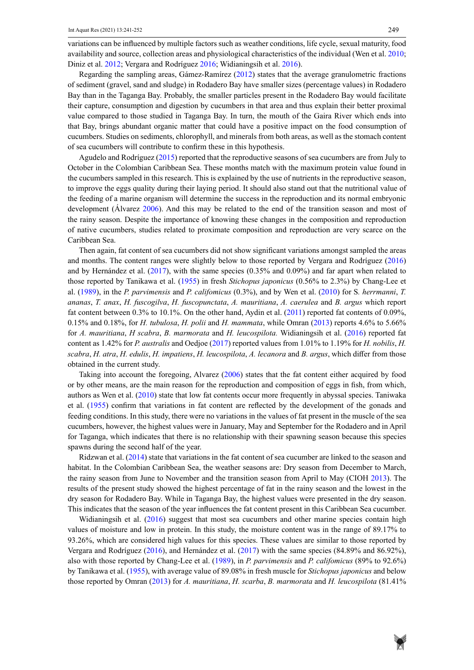variations can be influenced by multiple factors such as weather conditions, life cycle, sexual maturity, food availability and source, collection areas and physiological characteristics of the individual (Wen et al. 2010; Diniz et al. 2012; Vergara and Rodríguez 2016; Widianingsih et al. 2016).

Regarding the sampling areas, Gámez-Ramírez (2012) states that the average granulometric fractions of sediment (gravel, sand and sludge) in Rodadero Bay have smaller sizes (percentage values) in Rodadero Bay than in the Taganga Bay. Probably, the smaller particles present in the Rodadero Bay would facilitate their capture, consumption and digestion by cucumbers in that area and thus explain their better proximal value compared to those studied in Taganga Bay. In turn, the mouth of the Gaira River which ends into that Bay, brings abundant organic matter that could have a positive impact on the food consumption of cucumbers. Studies on sediments, chlorophyll, and minerals from both areas, as well as the stomach content of sea cucumbers will contribute to confirm these in this hypothesis.

Agudelo and Rodríguez (2015) reported that the reproductive seasons of sea cucumbers are from July to October in the Colombian Caribbean Sea. These months match with the maximum protein value found in the cucumbers sampled in this research. This is explained by the use of nutrients in the reproductive season, to improve the eggs quality during their laying period. It should also stand out that the nutritional value of the feeding of a marine organism will determine the success in the reproduction and its normal embryonic development (Álvarez 2006). And this may be related to the end of the transition season and most of the rainy season. Despite the importance of knowing these changes in the composition and reproduction of native cucumbers, studies related to proximate composition and reproduction are very scarce on the Caribbean Sea.

Then again, fat content of sea cucumbers did not show significant variations amongst sampled the areas and months. The content ranges were slightly below to those reported by Vergara and Rodríguez (2016) and by Hernández et al. (2017), with the same species (0.35% and 0.09%) and far apart when related to those reported by Tanikawa et al. (1955) in fresh *Stichopus japonicus* (0.56% to 2.3%) by Chang-Lee et al. (1989), in the *P. parvimensis* and *P. califomicus* (0.3%), and by Wen et al. (2010) for S*. herrmanni*, *T. ananas*, *T. anax*, *H. fuscogilva*, *H. fuscopunctata*, *A. mauritiana*, *A. caerulea* and *B. argus* which report fat content between 0.3% to 10.1%. On the other hand, Aydin et al. (2011) reported fat contents of 0.09%, 0.15% and 0.18%, for *H. tubulosa*, *H. polii* and *H. mammata*, while Omran (2013) reports 4.6% to 5.66% for *A. mauritiana*, *H scabra*, *B. marmorata* and *H. leucospilota.* Widianingsih et al. (2016) reported fat content as 1.42% for *P. australis* and Oedjoe (2017) reported values from 1.01% to 1.19% for *H. nobilis*, *H. scabra*, *H. atra*, *H. edulis*, *H. impatiens*, *H. leucospilota*, *A. lecanora* and *B. argus*, which differ from those obtained in the current study.

Taking into account the foregoing, Alvarez (2006) states that the fat content either acquired by food or by other means, are the main reason for the reproduction and composition of eggs in fish, from which, authors as Wen et al. (2010) state that low fat contents occur more frequently in abyssal species. Taniwaka et al. (1955) confirm that variations in fat content are reflected by the development of the gonads and feeding conditions. In this study, there were no variations in the values of fat present in the muscle of the sea cucumbers, however, the highest values were in January, May and September for the Rodadero and in April for Taganga, which indicates that there is no relationship with their spawning season because this species spawns during the second half of the year.

Ridzwan et al. (2014) state that variations in the fat content of sea cucumber are linked to the season and habitat. In the Colombian Caribbean Sea, the weather seasons are: Dry season from December to March, the rainy season from June to November and the transition season from April to May (CIOH 2013). The results of the present study showed the highest percentage of fat in the rainy season and the lowest in the dry season for Rodadero Bay. While in Taganga Bay, the highest values were presented in the dry season. This indicates that the season of the year influences the fat content present in this Caribbean Sea cucumber.

Widianingsih et al. (2016) suggest that most sea cucumbers and other marine species contain high values of moisture and low in protein. In this study, the moisture content was in the range of 89.17% to 93.26%, which are considered high values for this species. These values are similar to those reported by Vergara and Rodríguez (2016), and Hernández et al. (2017) with the same species (84.89% and 86.92%), also with those reported by Chang-Lee et al. (1989), in *P. parvimensis* and *P. califomicus* (89% to 92.6%) by Tanikawa et al. (1955), with average value of 89.08% in fresh muscle for *Stichopus japonicus* and below those reported by Omran (2013) for *A. mauritiana*, *H. scarba*, *B. marmorata* and *H. leucospilota* (81.41%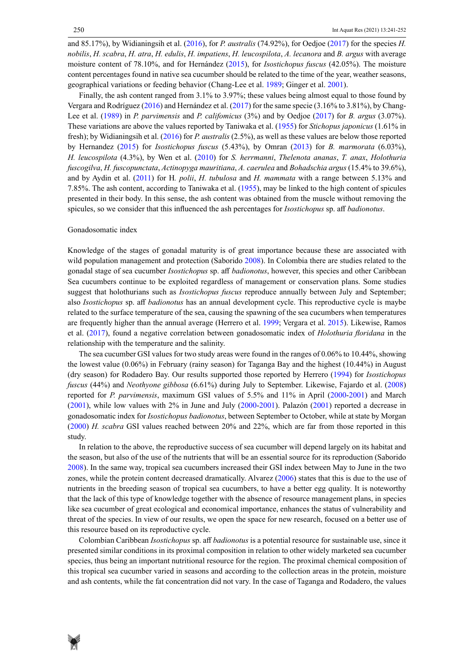and 85.17%), by Widianingsih et al. (2016), for *P. australis* (74.92%), for Oedjoe (2017) for the species *H. nobilis*, *H. scabra*, *H. atra*, *H. edulis*, *H. impatiens*, *H. leucospilota*, *A. lecanora* and *B. argus* with average moisture content of 78.10%, and for Hernández (2015), for *Isostichopus fuscus* (42.05%). The moisture content percentages found in native sea cucumber should be related to the time of the year, weather seasons, geographical variations or feeding behavior (Chang-Lee et al. 1989; Ginger et al. 2001).

Finally, the ash content ranged from 3.1% to 3.97%; these values being almost equal to those found by Vergara and Rodríguez (2016) and Hernández et al. (2017) for the same specie (3.16% to 3.81%), by Chang-Lee et al. (1989) in *P. parvimensis* and *P. califomicus* (3%) and by Oedjoe (2017) for *B. argus* (3.07%). These variations are above the values reported by Taniwaka et al. (1955) for *Stichopus japonicus* (1.61% in fresh); by Widianingsih et al. (2016) for *P. australis* (2.5%), as well as these values are below those reported by Hernandez (2015) for *Isostichopus fuscus* (5.43%), by Omran (2013) for *B. marmorata* (6.03%), *H. leucospilota* (4.3%), by Wen et al. (2010) for *S. herrmanni*, *Thelenota ananas*, *T. anax*, *Holothuria fuscogilva*, *H. fuscopunctata*, *Actinopyga mauritiana*, *A. caerulea* and *Bohadschia argus* (15.4% to 39.6%), and by Aydin et al. (2011) for H*. polii*, *H. tubulosa* and *H. mammata* with a range between 5.13% and 7.85%. The ash content, according to Taniwaka et al. (1955), may be linked to the high content of spicules presented in their body. In this sense, the ash content was obtained from the muscle without removing the spicules, so we consider that this influenced the ash percentages for *Isostichopus* sp. aff *badionotus*.

## Gonadosomatic index

Knowledge of the stages of gonadal maturity is of great importance because these are associated with wild population management and protection (Saborido 2008). In Colombia there are studies related to the gonadal stage of sea cucumber *Isostichopus* sp. aff *badionotus*, however, this species and other Caribbean Sea cucumbers continue to be exploited regardless of management or conservation plans. Some studies suggest that holothurians such as *Isostichopus fuscus* reproduce annually between July and September; also *Isostichopus* sp. aff *badionotus* has an annual development cycle. This reproductive cycle is maybe related to the surface temperature of the sea, causing the spawning of the sea cucumbers when temperatures are frequently higher than the annual average (Herrero et al. 1999; Vergara et al. 2015). Likewise, Ramos et al. (2017), found a negative correlation between gonadosomatic index of *Holothuria floridana* in the relationship with the temperature and the salinity.

The sea cucumber GSI values for two study areas were found in the ranges of 0.06% to 10.44%, showing the lowest value (0.06%) in February (rainy season) for Taganga Bay and the highest (10.44%) in August (dry season) for Rodadero Bay. Our results supported those reported by Herrero (1994) for *Isostichopus fuscus* (44%) and *Neothyone gibbosa* (6.61%) during July to September. Likewise, Fajardo et al. (2008) reported for *P. parvimensis*, maximum GSI values of 5.5% and 11% in April (2000-2001) and March (2001), while low values with 2% in June and July (2000-2001). Palazón (2001) reported a decrease in gonadosomatic index for *Isostichopus badionotus*, between September to October, while at state by Morgan (2000) *H. scabra* GSI values reached between 20% and 22%, which are far from those reported in this study.

In relation to the above, the reproductive success of sea cucumber will depend largely on its habitat and the season, but also of the use of the nutrients that will be an essential source for its reproduction (Saborido 2008). In the same way, tropical sea cucumbers increased their GSI index between May to June in the two zones, while the protein content decreased dramatically. Alvarez (2006) states that this is due to the use of nutrients in the breeding season of tropical sea cucumbers, to have a better egg quality. It is noteworthy that the lack of this type of knowledge together with the absence of resource management plans, in species like sea cucumber of great ecological and economical importance, enhances the status of vulnerability and threat of the species. In view of our results, we open the space for new research, focused on a better use of this resource based on its reproductive cycle.

Colombian Caribbean *Isostichopus* sp. aff *badionotus* is a potential resource for sustainable use, since it presented similar conditions in its proximal composition in relation to other widely marketed sea cucumber species, thus being an important nutritional resource for the region. The proximal chemical composition of this tropical sea cucumber varied in seasons and according to the collection areas in the protein, moisture and ash contents, while the fat concentration did not vary. In the case of Taganga and Rodadero, the values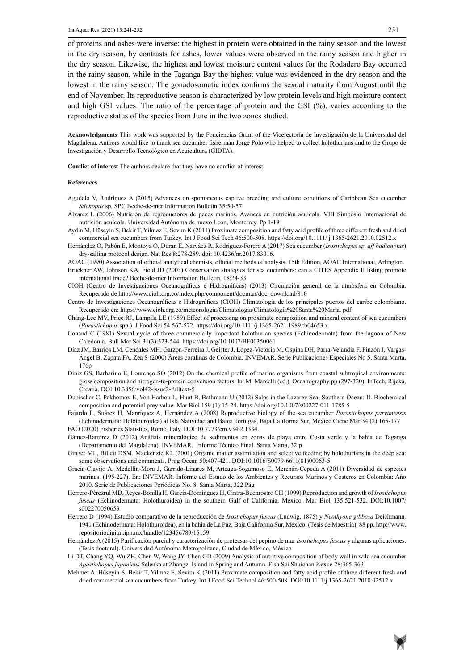of proteins and ashes were inverse: the highest in protein were obtained in the rainy season and the lowest in the dry season, by contrasts for ashes, lower values were observed in the rainy season and higher in the dry season. Likewise, the highest and lowest moisture content values for the Rodadero Bay occurred in the rainy season, while in the Taganga Bay the highest value was evidenced in the dry season and the lowest in the rainy season. The gonadosomatic index confirms the sexual maturity from August until the end of November. Its reproductive season is characterized by low protein levels and high moisture content and high GSI values. The ratio of the percentage of protein and the GSI (%), varies according to the reproductive status of the species from June in the two zones studied.

**Acknowledgments** This work was supported by the Fonciencias Grant of the Vicerectoría de Investigación de la Universidad del Magdalena. Authors would like to thank sea cucumber fisherman Jorge Polo who helped to collect holothurians and to the Grupo de Investigación y Desarrollo Tecnológico en Acuicultura (GIDTA).

**Conflict of interest** The authors declare that they have no conflict of interest.

#### **References**

- Agudelo V, Rodríguez A (2015) Advances on spontaneous captive breeding and culture conditions of Caribbean Sea cucumber *Stichopus* sp. SPC Beche-de-mer Information Bulletin 35:50-57
- Álvarez L (2006) Nutrición de reproductores de peces marinos. Avances en nutrición acuícola. VIII Simposio Internacional de nutrición acuícola. Universidad Autónoma de nuevo Leon, Monterrey. Pp 1-19
- Aydin M, Hüseyin S, Bekir T, Yilmaz E, Sevim K (2011) Proximate composition and fatty acid profile of three different fresh and dried commercial sea cucumbers from Turkey. Int J Food Sci Tech 46:500-508.<https://doi.org/10.1111/ j.1365-2621.2010.02512.x>
- Hernández O, Pabón E, Montoya O, Duran E, Narváez R, Rodriguez-Forero A (2017) Sea cucumber (*Isostichopus sp. aff badionotus*) dry-salting protocol design. Nat Res 8:278-289. doi: [10.4236/nr.2017.83016.](https://doi.org/10.4236/nr.2017.83016)
- AOAC (1990) Association of official analytical chemists, official methods of analysis. 15th Edition, AOAC International, Arlington.
- Bruckner AW, Johnson KA, Field JD (2003) Conservation strategies for sea cucumbers: can a CITES Appendix II listing promote international trade? Beche-de-mer Information Bulletin, 18:24-33
- CIOH (Centro de Investigaciones Oceanográficas e Hidrográficas) (2013) Circulación general de la atmósfera en Colombia. Recuperado de http://www.cioh.org.co/index.php/component/docman/doc\_download/810
- Centro de Investigaciones Oceanográficas e Hidrográficas (CIOH) Climatología de los principales puertos del caribe colombiano. Recuperado en: [https://www.cioh.org.co/meteorologia/Climatologia/Climatologia%20Santa%20Marta. pdf](https://www.cioh.org.co/meteorologia/Climatologia/Climatologia Santa Marta. pdf)
- Chang-Lee MV, Price RJ, Lampila LE (1989) Effect of processing on proximate composition and mineral content of sea cucumbers (*Parastichopus* spp.). J Food Sci 54:567-572. <https://doi.org/10.1111/j.1365-2621.1989.tb04653.x>
- Conand C (1981) Sexual cycle of three commercially important holothurian species (Echinodermata) from the lagoon of New Caledonia. Bull Mar Sci 31(3):523-544.<https://doi.org/10.1007/BF00350061>
- Díaz JM, Barrios LM, Cendales MH, Garzon-Ferreira J, Geister J, Lopez-Victoria M, Ospina DH, Parra-Velandía F, Pinzón J, Vargas-Ángel B, Zapata FA, Zea S (2000) Áreas coralinas de Colombia. INVEMAR, Serie Publicaciones Especiales No 5, Santa Marta, 176p
- Diniz GS, Barbarino E, Lourenço SO (2012) On the chemical profile of marine organisms from coastal subtropical environments: gross composition and nitrogen-to-protein conversion factors. In: M. Marcelli (ed.). Oceanography pp (297-320). InTech, Rijeka, Croatia. DOI:10.3856/vol42-issue2-fulltext-5
- Dubischar C, Pakhomov E, Von Harbou L, Hunt B, Bathmann U (2012) Salps in the Lazarev Sea, Southern Ocean: II. Biochemical composition and potential prey value. Mar Biol 159 (1):15-24.<https://doi.org/10.1007/s00227-011-1785-5>
- Fajardo L, Suárez H, Manríquez A, Hernández A (2008) Reproductive biology of the sea cucumber *Parastichopus parvimensis* (Echinodermata: Holothuroidea) at Isla Natividad and Bahía Tortugas, Baja California Sur, Mexico Cienc Mar 34 (2):165-177 FAO (2020) Fisheries Statistics, Rome, Italy. DOI:10.7773/cm.v34i2.1334.
- Gámez-Ramírez D (2012) Análisis mineralógico de sedimentos en zonas de playa entre Costa verde y la bahía de Taganga (Departamento del Magdalena). INVEMAR. Informe Técnico Final. Santa Marta, 32 p
- Ginger ML, Billett DSM, Mackenzie KL (2001) Organic matter assimilation and selective feeding by holothurians in the deep sea: some observations and comments. Prog Ocean 50:407-421. DOI:10.1016/S0079-6611(01)00063-5
- Gracia-Clavijo A, Medellín-Mora J, Garrido-Linares M, Arteaga-Sogamoso E, Merchán-Cepeda A (2011) Diversidad de especies marinas. (195-227). En: INVEMAR. Informe del Estado de los Ambientes y Recursos Marinos y Costeros en Colombia: Año 2010. Serie de Publicaciones Periódicas No. 8. Santa Marta, 322 Pág
- Herrero-Pérezrul MD, Reyes-Bonilla H, García-Domínguez H, Cintra-Buenrostro CH (1999) Reproduction and growth of *Isostichopus fuscus* (Echinodermata: Holothuroidea) in the southern Gulf of California, Mexico. Mar Biol 135:521-532. DOI:10.1007/ s002270050653
- Herrero D (1994) Estudio comparativo de la reproducción de *Isostichopus fuscus* (Ludwig, 1875) y *Neothyone gibbosa* Deichmann*,* 1941 (Echinodermata: Holothuroidea), en la bahía de La Paz, Baja California Sur, México. (Tesis de Maestría). 88 pp. [http://www.](http://www.repositoriodigital.ipn.mx/handle/123456789/15159) [repositoriodigital.ipn.mx/handle/123456789/15159](http://www.repositoriodigital.ipn.mx/handle/123456789/15159)
- Hernández A (2015) Purificación parcial y caracterización de proteasas del pepino de mar *Isostichopus fuscus* y algunas aplicaciones. (Tesis doctoral). Universidad Autónoma Metropolitana, Ciudad de México, México
- Li DT, Chang YQ, Wu ZH, Chen W, Wang JY, Chen GD (2009) Analysis of nutritive composition of body wall in wild sea cucumber *Apostichopus japonicus* Selenka at Zhangzi Island in Spring and Autumn. Fish Sci Shuichan Kexue 28:365-369
- Mehmet A, Hüseyin S, Bekir T, Yilmaz E, Sevim K (2011) Proximate composition and fatty acid profile of three different fresh and dried commercial sea cucumbers from Turkey. Int J Food Sci Technol 46:500-508. DOI:10.1111/j.1365-2621.2010.02512.x